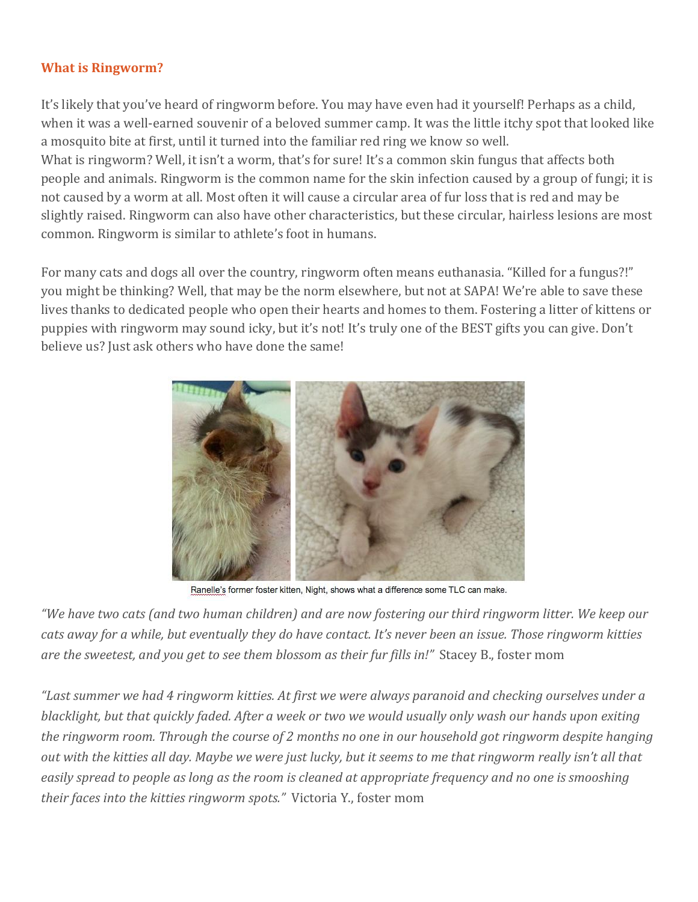#### **What is Ringworm?**

It's likely that you've heard of ringworm before. You may have even had it yourself! Perhaps as a child, when it was a well-earned souvenir of a beloved summer camp. It was the little itchy spot that looked like a mosquito bite at first, until it turned into the familiar red ring we know so well.

What is ringworm? Well, it isn't a worm, that's for sure! It's a common skin fungus that affects both people and animals. Ringworm is the common name for the skin infection caused by a group of fungi; it is not caused by a worm at all. Most often it will cause a circular area of fur loss that is red and may be slightly raised. Ringworm can also have other characteristics, but these circular, hairless lesions are most common. Ringworm is similar to athlete's foot in humans.

For many cats and dogs all over the country, ringworm often means euthanasia. "Killed for a fungus?!" you might be thinking? Well, that may be the norm elsewhere, but not at SAPA! We're able to save these lives thanks to dedicated people who open their hearts and homes to them. Fostering a litter of kittens or puppies with ringworm may sound icky, but it's not! It's truly one of the BEST gifts you can give. Don't believe us? Just ask others who have done the same!



Ranelle's former foster kitten, Night, shows what a difference some TLC can make.

"We have two cats (and two human children) and are now fostering our third ringworm litter. We keep our cats away for a while, but eventually they do have contact. It's never been an issue. Those ringworm kitties *are the sweetest, and you get to see them blossom as their fur fills in!"* Stacey B., foster mom

"Last summer we had 4 ringworm kitties. At first we were always paranoid and checking ourselves under a blacklight, but that quickly faded. After a week or two we would usually only wash our hands upon exiting the ringworm room. Through the course of 2 months no one in our household got ringworm despite hanging out with the kitties all day. Maybe we were just lucky, but it seems to me that ringworm really isn't all that easily spread to people as long as the room is cleaned at appropriate frequency and no one is smooshing *their faces into the kitties ringworm spots."* Victoria Y., foster mom